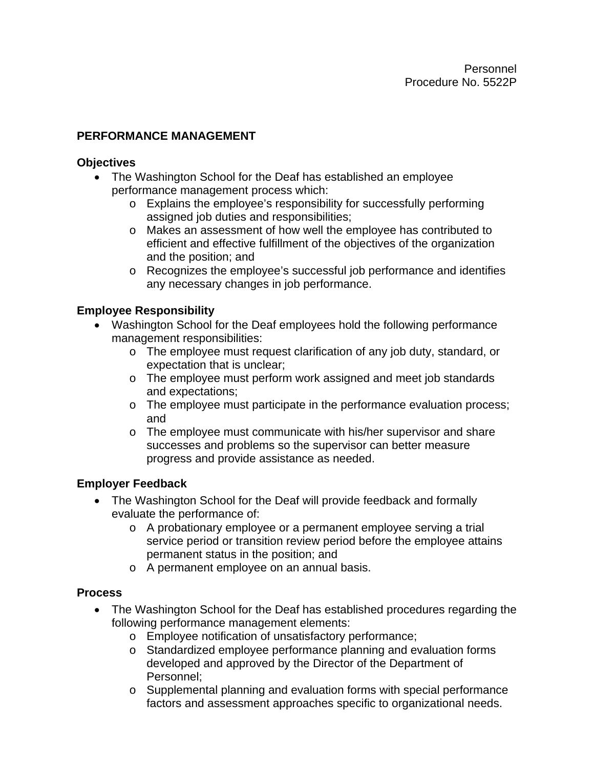## **PERFORMANCE MANAGEMENT**

#### **Objectives**

- The Washington School for the Deaf has established an employee performance management process which:
	- o Explains the employee's responsibility for successfully performing assigned job duties and responsibilities;
	- o Makes an assessment of how well the employee has contributed to efficient and effective fulfillment of the objectives of the organization and the position; and
	- o Recognizes the employee's successful job performance and identifies any necessary changes in job performance.

## **Employee Responsibility**

- Washington School for the Deaf employees hold the following performance management responsibilities:
	- o The employee must request clarification of any job duty, standard, or expectation that is unclear;
	- o The employee must perform work assigned and meet job standards and expectations;
	- o The employee must participate in the performance evaluation process; and
	- o The employee must communicate with his/her supervisor and share successes and problems so the supervisor can better measure progress and provide assistance as needed.

### **Employer Feedback**

- The Washington School for the Deaf will provide feedback and formally evaluate the performance of:
	- o A probationary employee or a permanent employee serving a trial service period or transition review period before the employee attains permanent status in the position; and
	- o A permanent employee on an annual basis.

### **Process**

- The Washington School for the Deaf has established procedures regarding the following performance management elements:
	- o Employee notification of unsatisfactory performance;
	- o Standardized employee performance planning and evaluation forms developed and approved by the Director of the Department of Personnel;
	- o Supplemental planning and evaluation forms with special performance factors and assessment approaches specific to organizational needs.